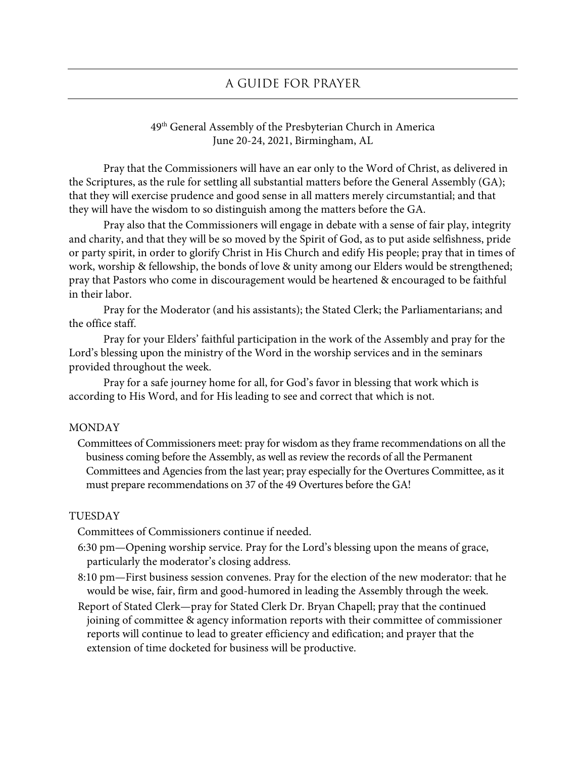# 49th General Assembly of the Presbyterian Church in America June 20-24, 2021, Birmingham, AL

Pray that the Commissioners will have an ear only to the Word of Christ, as delivered in the Scriptures, as the rule for settling all substantial matters before the General Assembly (GA); that they will exercise prudence and good sense in all matters merely circumstantial; and that they will have the wisdom to so distinguish among the matters before the GA.

Pray also that the Commissioners will engage in debate with a sense of fair play, integrity and charity, and that they will be so moved by the Spirit of God, as to put aside selfishness, pride or party spirit, in order to glorify Christ in His Church and edify His people; pray that in times of work, worship & fellowship, the bonds of love & unity among our Elders would be strengthened; pray that Pastors who come in discouragement would be heartened & encouraged to be faithful in their labor.

Pray for the Moderator (and his assistants); the Stated Clerk; the Parliamentarians; and the office staff.

Pray for your Elders' faithful participation in the work of the Assembly and pray for the Lord's blessing upon the ministry of the Word in the worship services and in the seminars provided throughout the week.

Pray for a safe journey home for all, for God's favor in blessing that work which is according to His Word, and for His leading to see and correct that which is not.

#### MONDAY

Committees of Commissioners meet: pray for wisdom as they frame recommendations on all the business coming before the Assembly, as well as review the records of all the Permanent Committees and Agencies from the last year; pray especially for the Overtures Committee, as it must prepare recommendations on 37 of the 49 Overtures before the GA!

# TUESDAY

Committees of Commissioners continue if needed.

- 6:30 pm—Opening worship service. Pray for the Lord's blessing upon the means of grace, particularly the moderator's closing address.
- 8:10 pm—First business session convenes. Pray for the election of the new moderator: that he would be wise, fair, firm and good-humored in leading the Assembly through the week.
- Report of Stated Clerk—pray for Stated Clerk Dr. Bryan Chapell; pray that the continued joining of committee & agency information reports with their committee of commissioner reports will continue to lead to greater efficiency and edification; and prayer that the extension of time docketed for business will be productive.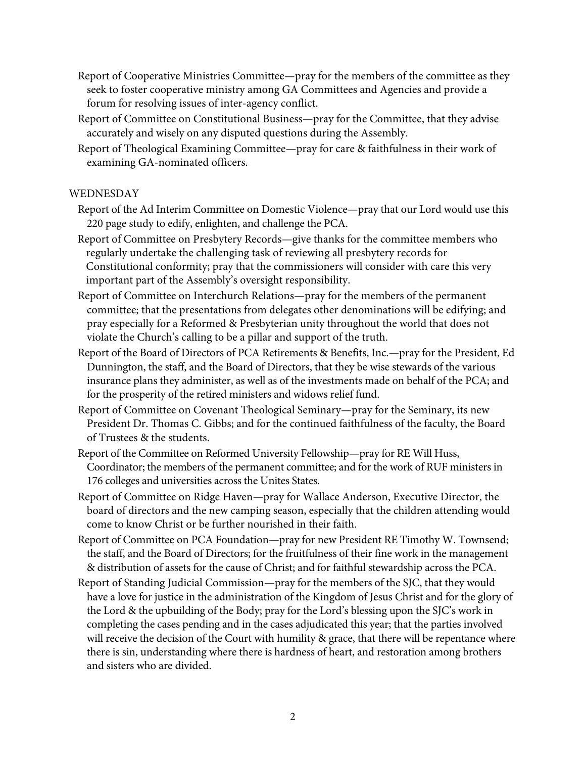- Report of Cooperative Ministries Committee—pray for the members of the committee as they seek to foster cooperative ministry among GA Committees and Agencies and provide a forum for resolving issues of inter-agency conflict.
- Report of Committee on Constitutional Business—pray for the Committee, that they advise accurately and wisely on any disputed questions during the Assembly.
- Report of Theological Examining Committee—pray for care & faithfulness in their work of examining GA-nominated officers.

# WEDNESDAY

- Report of the Ad Interim Committee on Domestic Violence—pray that our Lord would use this 220 page study to edify, enlighten, and challenge the PCA.
- Report of Committee on Presbytery Records—give thanks for the committee members who regularly undertake the challenging task of reviewing all presbytery records for Constitutional conformity; pray that the commissioners will consider with care this very important part of the Assembly's oversight responsibility.
- Report of Committee on Interchurch Relations—pray for the members of the permanent committee; that the presentations from delegates other denominations will be edifying; and pray especially for a Reformed & Presbyterian unity throughout the world that does not violate the Church's calling to be a pillar and support of the truth.
- Report of the Board of Directors of PCA Retirements & Benefits, Inc.—pray for the President, Ed Dunnington, the staff, and the Board of Directors, that they be wise stewards of the various insurance plans they administer, as well as of the investments made on behalf of the PCA; and for the prosperity of the retired ministers and widows relief fund.
- Report of Committee on Covenant Theological Seminary—pray for the Seminary, its new President Dr. Thomas C. Gibbs; and for the continued faithfulness of the faculty, the Board of Trustees & the students.
- Report of the Committee on Reformed University Fellowship—pray for RE Will Huss, Coordinator; the members of the permanent committee; and for the work of RUF ministers in 176 colleges and universities across the Unites States.
- Report of Committee on Ridge Haven—pray for Wallace Anderson, Executive Director, the board of directors and the new camping season, especially that the children attending would come to know Christ or be further nourished in their faith.
- Report of Committee on PCA Foundation—pray for new President RE Timothy W. Townsend; the staff, and the Board of Directors; for the fruitfulness of their fine work in the management & distribution of assets for the cause of Christ; and for faithful stewardship across the PCA.
- Report of Standing Judicial Commission—pray for the members of the SJC, that they would have a love for justice in the administration of the Kingdom of Jesus Christ and for the glory of the Lord & the upbuilding of the Body; pray for the Lord's blessing upon the SJC's work in completing the cases pending and in the cases adjudicated this year; that the parties involved will receive the decision of the Court with humility & grace, that there will be repentance where there is sin, understanding where there is hardness of heart, and restoration among brothers and sisters who are divided.